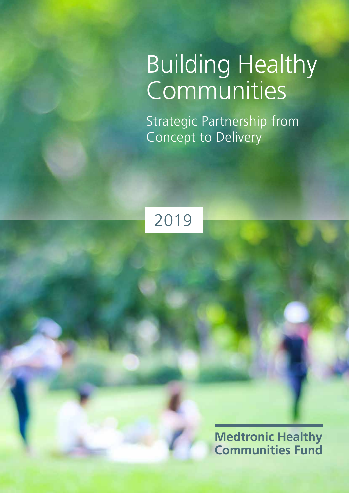# Building Healthy **Communities**

Strategic Partnership from Concept to Delivery



**Medtronic Healthy Communities Fund**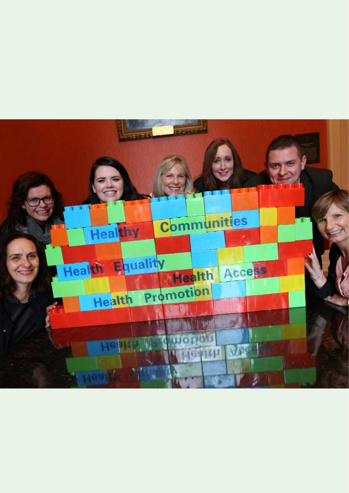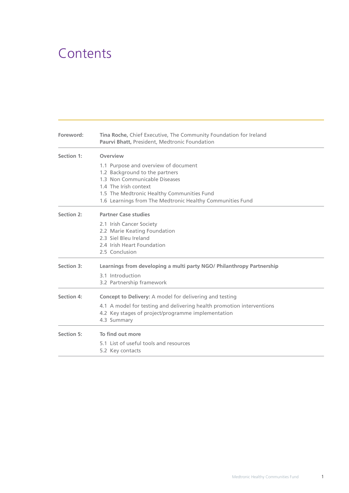## **Contents**

| Foreword:         | Tina Roche, Chief Executive, The Community Foundation for Ireland<br>Paurvi Bhatt, President, Medtronic Foundation |
|-------------------|--------------------------------------------------------------------------------------------------------------------|
| Section 1:        | Overview                                                                                                           |
|                   | 1.1 Purpose and overview of document                                                                               |
|                   | 1.2 Background to the partners                                                                                     |
|                   | 1.3 Non Communicable Diseases                                                                                      |
|                   | 1.4 The Irish context                                                                                              |
|                   | 1.5 The Medtronic Healthy Communities Fund                                                                         |
|                   | 1.6 Learnings from The Medtronic Healthy Communities Fund                                                          |
| Section 2:        | <b>Partner Case studies</b>                                                                                        |
|                   | 2.1 Irish Cancer Society                                                                                           |
|                   | 2.2 Marie Keating Foundation                                                                                       |
|                   | 2.3 Siel Bleu Ireland                                                                                              |
|                   | 2.4 Irish Heart Foundation                                                                                         |
|                   | 2.5 Conclusion                                                                                                     |
| Section 3:        | Learnings from developing a multi party NGO/ Philanthropy Partnership                                              |
|                   | 3.1 Introduction                                                                                                   |
|                   | 3.2 Partnership framework                                                                                          |
| <b>Section 4:</b> | <b>Concept to Delivery:</b> A model for delivering and testing                                                     |
|                   | 4.1 A model for testing and delivering health promotion interventions                                              |
|                   | 4.2 Key stages of project/programme implementation                                                                 |
|                   | 4.3 Summary                                                                                                        |
| <b>Section 5:</b> | To find out more                                                                                                   |
|                   | 5.1 List of useful tools and resources                                                                             |
|                   | 5.2 Key contacts                                                                                                   |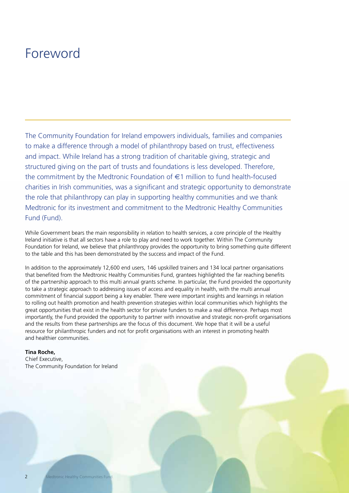### Foreword

The Community Foundation for Ireland empowers individuals, families and companies to make a difference through a model of philanthropy based on trust, effectiveness and impact. While Ireland has a strong tradition of charitable giving, strategic and structured giving on the part of trusts and foundations is less developed. Therefore, the commitment by the Medtronic Foundation of €1 million to fund health-focused charities in Irish communities, was a significant and strategic opportunity to demonstrate the role that philanthropy can play in supporting healthy communities and we thank Medtronic for its investment and commitment to the Medtronic Healthy Communities Fund (Fund).

While Government bears the main responsibility in relation to health services, a core principle of the Healthy Ireland initiative is that all sectors have a role to play and need to work together. Within The Community Foundation for Ireland, we believe that philanthropy provides the opportunity to bring something quite different to the table and this has been demonstrated by the success and impact of the Fund.

In addition to the approximately 12,600 end users, 146 upskilled trainers and 134 local partner organisations that benefited from the Medtronic Healthy Communities Fund, grantees highlighted the far reaching benefits of the partnership approach to this multi annual grants scheme. In particular, the Fund provided the opportunity to take a strategic approach to addressing issues of access and equality in health, with the multi annual commitment of financial support being a key enabler. There were important insights and learnings in relation to rolling out health promotion and health prevention strategies within local communities which highlights the great opportunities that exist in the health sector for private funders to make a real difference. Perhaps most importantly, the Fund provided the opportunity to partner with innovative and strategic non-profit organisations and the results from these partnerships are the focus of this document. We hope that it will be a useful resource for philanthropic funders and not for profit organisations with an interest in promoting health and healthier communities.

#### **Tina Roche,**

Chief Executive, The Community Foundation for Ireland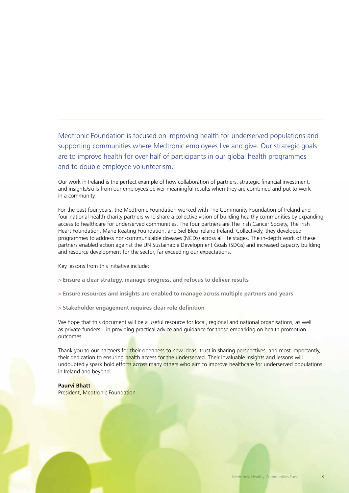Medtronic Foundation is focused on improving health for underserved populations and supporting communities where Medtronic employees live and give. Our strategic goals are to improve health for over half of participants in our global health programmes and to double employee volunteerism.

Our work in Ireland is the perfect example of how collaboration of partners, strategic financial investment, and insights/skills from our employees deliver meaningful results when they are combined and put to work in a community.

For the past four years, the Medtronic Foundation worked with The Community Foundation of Ireland and four national health charity partners who share a collective vision of building healthy communities by expanding access to healthcare for underserved communities. The four partners are The Irish Cancer Society, The Irish Heart Foundation, Marie Keating Foundation, and Siel Bleu Ireland Ireland. Collectively, they developed programmes to address non-communicable diseases (NCDs) across all life stages. The in-depth work of these partners enabled action against the UN Sustainable Development Goals (SDGs) and increased capacity building and resource development for the sector, far exceeding our expectations.

Key lessons from this initiative include:

- **> Ensure a clear strategy, manage progress, and refocus to deliver results**
- **> Ensure resources and insights are enabled to manage across multiple partners and years**
- **> Stakeholder engagement requires clear role definition**

We hope that this document will be a useful resource for local, regional and national organisations, as well as private funders – in providing practical advice and guidance for those embarking on health promotion outcomes.

Thank you to our partners for their openness to new ideas, trust in sharing perspectives, and most importantly, their dedication to ensuring health access for the underserved. Their invaluable insights and lessons will undoubtedly spark bold efforts across many others who aim to improve healthcare for underserved populations in Ireland and beyond.

#### **Paurvi Bhatt**

President, Medtronic Foundation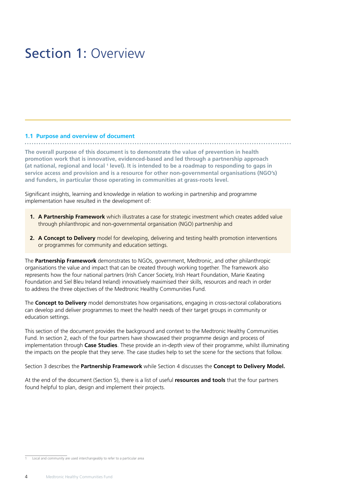## Section 1: Overview

#### **1.1 Purpose and overview of document**

**The overall purpose of this document is to demonstrate the value of prevention in health promotion work that is innovative, evidenced-based and led through a partnership approach**  (at national, regional and local <sup>1</sup> level). It is intended to be a roadmap to responding to gaps in **service access and provision and is a resource for other non-governmental organisations (NGO's) and funders, in particular those operating in communities at grass-roots level.**

Significant insights, learning and knowledge in relation to working in partnership and programme implementation have resulted in the development of:

- **1. A Partnership Framework** which illustrates a case for strategic investment which creates added value through philanthropic and non-governmental organisation (NGO) partnership and
- **2. A Concept to Delivery** model for developing, delivering and testing health promotion interventions or programmes for community and education settings.

The **Partnership Framework** demonstrates to NGOs, government, Medtronic, and other philanthropic organisations the value and impact that can be created through working together. The framework also represents how the four national partners (Irish Cancer Society, Irish Heart Foundation, Marie Keating Foundation and Siel Bleu Ireland Ireland) innovatively maximised their skills, resources and reach in order to address the three objectives of the Medtronic Healthy Communities Fund.

The **Concept to Delivery** model demonstrates how organisations, engaging in cross-sectoral collaborations can develop and deliver programmes to meet the health needs of their target groups in community or education settings.

This section of the document provides the background and context to the Medtronic Healthy Communities Fund. In section 2, each of the four partners have showcased their programme design and process of implementation through **Case Studies**. These provide an in-depth view of their programme, whilst illuminating the impacts on the people that they serve. The case studies help to set the scene for the sections that follow.

Section 3 describes the **Partnership Framework** while Section 4 discusses the **Concept to Delivery Model.**

At the end of the document (Section 5), there is a list of useful **resources and tools** that the four partners found helpful to plan, design and implement their projects.

**<sup>1</sup>** Local and community are used interchangeably to refer to a particular area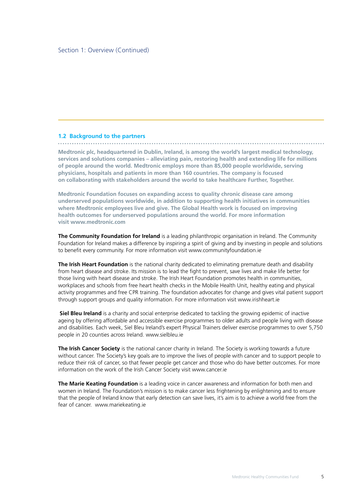#### **1.2 Background to the partners**

**Medtronic plc, headquartered in Dublin, Ireland, is among the world's largest medical technology, services and solutions companies – alleviating pain, restoring health and extending life for millions of people around the world. Medtronic employs more than 85,000 people worldwide, serving physicians, hospitals and patients in more than 160 countries. The company is focused on collaborating with stakeholders around the world to take healthcare Further, Together.** 

**Medtronic Foundation focuses on expanding access to quality chronic disease care among underserved populations worldwide, in addition to supporting health initiatives in communities where Medtronic employees live and give. The Global Health work is focused on improving health outcomes for underserved populations around the world. For more information visit www.medtronic.com**

**The Community Foundation for Ireland** is a leading philanthropic organisation in Ireland. The Community Foundation for Ireland makes a difference by inspiring a spirit of giving and by investing in people and solutions to benefit every community. For more information visit www.communityfoundation.ie

**The Irish Heart Foundation** is the national charity dedicated to eliminating premature death and disability from heart disease and stroke. Its mission is to lead the fight to prevent, save lives and make life better for those living with heart disease and stroke. The Irish Heart Foundation promotes health in communities, workplaces and schools from free heart health checks in the Mobile Health Unit, healthy eating and physical activity programmes and free CPR training. The foundation advocates for change and gives vital patient support through support groups and quality information. For more information visit www.irishheart.ie

**Siel Bleu Ireland** is a charity and social enterprise dedicated to tackling the growing epidemic of inactive ageing by offering affordable and accessible exercise programmes to older adults and people living with disease and disabilities. Each week, Siel Bleu Ireland's expert Physical Trainers deliver exercise programmes to over 5,750 people in 20 counties across Ireland. www.sielbleu.ie

**The Irish Cancer Society** is the national cancer charity in Ireland. The Society is working towards a future without cancer. The Society's key goals are to improve the lives of people with cancer and to support people to reduce their risk of cancer, so that fewer people get cancer and those who do have better outcomes. For more information on the work of the Irish Cancer Society visit www.cancer.ie

**The Marie Keating Foundation** is a leading voice in cancer awareness and information for both men and women in Ireland. The Foundation's mission is to make cancer less frightening by enlightening and to ensure that the people of Ireland know that early detection can save lives, it's aim is to achieve a world free from the fear of cancer. www.mariekeating.ie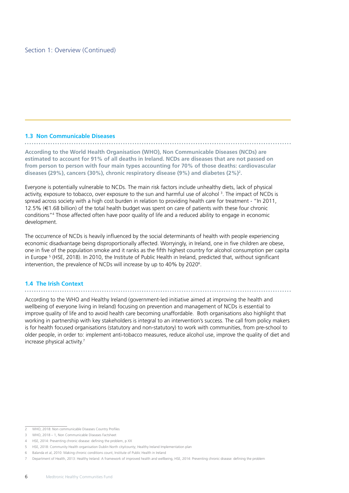#### **1.3 Non Communicable Diseases**

**According to the World Health Organisation (WHO), Non Communicable Diseases (NCDs) are estimated to account for 91% of all deaths in Ireland. NCDs are diseases that are not passed on from person to person with four main types accounting for 70% of those deaths: cardiovascular diseases (29%), cancers (30%), chronic respiratory disease (9%) and diabetes (2%)2 .**

Everyone is potentially vulnerable to NCDs. The main risk factors include unhealthy diets, lack of physical activity, exposure to tobacco, over exposure to the sun and harmful use of alcohol<sup>3</sup>. The impact of NCDs is spread across society with a high cost burden in relation to providing health care for treatment - "In 2011, 12.5% (€1.68 billion) of the total health budget was spent on care of patients with these four chronic conditions"4 Those affected often have poor quality of life and a reduced ability to engage in economic development.

The occurrence of NCDs is heavily influenced by the social determinants of health with people experiencing economic disadvantage being disproportionally affected. Worryingly, in Ireland, one in five children are obese, one in five of the population smoke and it ranks as the fifth highest country for alcohol consumption per capita in Europe <sup>5</sup> (HSE, 2018). In 2010, the Institute of Public Health in Ireland, predicted that, without significant intervention, the prevalence of NCDs will increase by up to 40% by 2020<sup>6</sup>.

#### **1.4 The Irish Context**

According to the WHO and Healthy Ireland (government-led initiative aimed at improving the health and wellbeing of everyone living in Ireland) focusing on prevention and management of NCDs is essential to improve quality of life and to avoid health care becoming unaffordable. Both organisations also highlight that working in partnership with key stakeholders is integral to an intervention's success. The call from policy makers is for health focused organisations (statutory and non-statutory) to work with communities, from pre-school to older people, in order to: implement anti-tobacco measures, reduce alcohol use, improve the quality of diet and increase physical activity.7

<sup>2</sup> WHO, 2018: Non communicable Diseases Country Profiles

<sup>3</sup> WHO, 2018 – 1, Non Communicable Diseases Factsheet

<sup>4</sup> HSE, 2014: Preventing chronic disease: defining the problem, p XX

<sup>5</sup> HSE, 2018: Community Health organisation Dublin North city/county; Healthy Ireland Implementation plan

<sup>6</sup> Balanda et al, 2010: Making chronic conditions count, Institute of Public Health in Ireland

<sup>7</sup> Department of Health, 2013: Healthy Ireland: A framework of improved health and wellbeing, HSE, 2014: Preventing chronic disease: defining the problem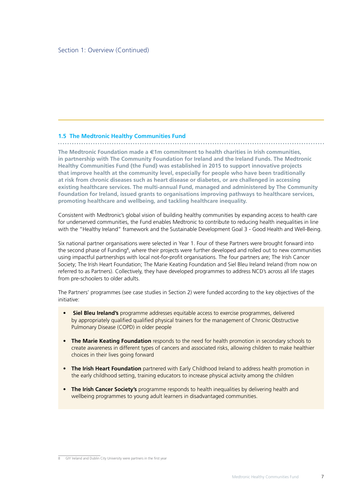#### **1.5 The Medtronic Healthy Communities Fund**

**The Medtronic Foundation made a €1m commitment to health charities in Irish communities, in partnership with The Community Foundation for Ireland and the Ireland Funds. The Medtronic Healthy Communities Fund (the Fund) was established in 2015 to support innovative projects that improve health at the community level, especially for people who have been traditionally at risk from chronic diseases such as heart disease or diabetes, or are challenged in accessing existing healthcare services. The multi-annual Fund, managed and administered by The Community Foundation for Ireland, issued grants to organisations improving pathways to healthcare services, promoting healthcare and wellbeing, and tackling healthcare inequality.** 

Consistent with Medtronic's global vision of building healthy communities by expanding access to health care for underserved communities, the Fund enables Medtronic to contribute to reducing health inequalities in line with the "Healthy Ireland" framework and the Sustainable Development Goal 3 - Good Health and Well-Being.

Six national partner organisations were selected in Year 1. Four of these Partners were brought forward into the second phase of Funding<sup>8</sup>, where their projects were further developed and rolled out to new communities using impactful partnerships with local not-for-profit organisations. The four partners are; The Irish Cancer Society; The Irish Heart Foundation; The Marie Keating Foundation and Siel Bleu Ireland Ireland (from now on referred to as Partners). Collectively, they have developed programmes to address NCD's across all life stages from pre-schoolers to older adults.

The Partners' programmes (see case studies in Section 2) were funded according to the key objectives of the initiative:

- **Siel Bleu Ireland's** programme addresses equitable access to exercise programmes, delivered by appropriately qualified qualified physical trainers for the management of Chronic Obstructive Pulmonary Disease (COPD) in older people
- **• The Marie Keating Foundation** responds to the need for health promotion in secondary schools to create awareness in different types of cancers and associated risks, allowing children to make healthier choices in their lives going forward
- **• The Irish Heart Foundation** partnered with Early Childhood Ireland to address health promotion in the early childhood setting, training educators to increase physical activity among the children
- **•• The Irish Cancer Society's** programme responds to health inequalities by delivering health and wellbeing programmes to young adult learners in disadvantaged communities.

<sup>8</sup> GIY Ireland and Dublin City University were partners in the first year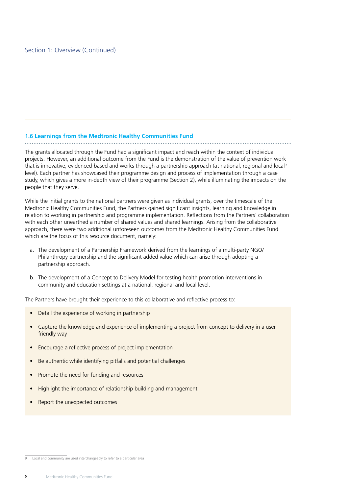#### **1.6 Learnings from the Medtronic Healthy Communities Fund**

The grants allocated through the Fund had a significant impact and reach within the context of individual projects. However, an additional outcome from the Fund is the demonstration of the value of prevention work that is innovative, evidenced-based and works through a partnership approach (at national, regional and local<sup>9</sup> level). Each partner has showcased their programme design and process of implementation through a case study, which gives a more in-depth view of their programme (Section 2), while illuminating the impacts on the people that they serve.

While the initial grants to the national partners were given as individual grants, over the timescale of the Medtronic Healthy Communities Fund, the Partners gained significant insights, learning and knowledge in relation to working in partnership and programme implementation. Reflections from the Partners' collaboration with each other unearthed a number of shared values and shared learnings. Arising from the collaborative approach, there were two additional unforeseen outcomes from the Medtronic Healthy Communities Fund which are the focus of this resource document, namely:

- a. The development of a Partnership Framework derived from the learnings of a multi-party NGO/ Philanthropy partnership and the significant added value which can arise through adopting a partnership approach.
- b. The development of a Concept to Delivery Model for testing health promotion interventions in community and education settings at a national, regional and local level.

The Partners have brought their experience to this collaborative and reflective process to:

- Detail the experience of working in partnership
- Capture the knowledge and experience of implementing a project from concept to delivery in a user friendly way
- Encourage a reflective process of project implementation
- Be authentic while identifying pitfalls and potential challenges
- Promote the need for funding and resources
- Highlight the importance of relationship building and management
- Report the unexpected outcomes

**<sup>9</sup>** Local and community are used interchangeably to refer to a particular area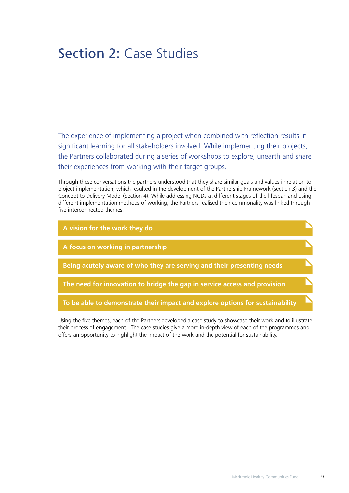# Section 2: Case Studies

The experience of implementing a project when combined with reflection results in significant learning for all stakeholders involved. While implementing their projects, the Partners collaborated during a series of workshops to explore, unearth and share their experiences from working with their target groups.

Through these conversations the partners understood that they share similar goals and values in relation to project implementation, which resulted in the development of the Partnership Framework (section 3) and the Concept to Delivery Model (Section 4). While addressing NCDs at different stages of the lifespan and using different implementation methods of working, the Partners realised their commonality was linked through five interconnected themes:

| A vision for the work they do                                                 |  |
|-------------------------------------------------------------------------------|--|
| A focus on working in partnership                                             |  |
| Being acutely aware of who they are serving and their presenting needs        |  |
| The need for innovation to bridge the gap in service access and provision     |  |
| To be able to demonstrate their impact and explore options for sustainability |  |

Using the five themes, each of the Partners developed a case study to showcase their work and to illustrate their process of engagement. The case studies give a more in-depth view of each of the programmes and offers an opportunity to highlight the impact of the work and the potential for sustainability.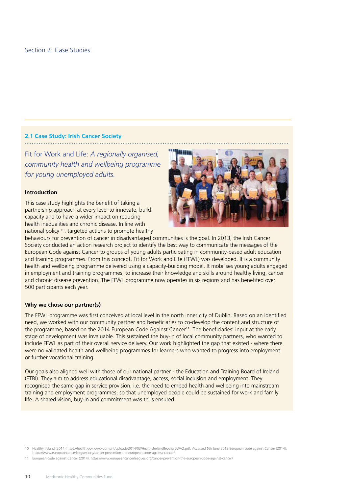#### **2.1 Case Study: Irish Cancer Society**

Fit for Work and Life: *A regionally organised, community health and wellbeing programme for young unemployed adults.*

#### **Introduction**

This case study highlights the benefit of taking a partnership approach at every level to innovate, build capacity and to have a wider impact on reducing health inequalities and chronic disease. In line with national policy 10, targeted actions to promote healthy



behaviours for prevention of cancer in disadvantaged communities is the goal. In 2013, the Irish Cancer Society conducted an action research project to identify the best way to communicate the messages of the European Code against Cancer to groups of young adults participating in community-based adult education and training programmes. From this concept, Fit for Work and Life (FFWL) was developed. It is a community health and wellbeing programme delivered using a capacity-building model. It mobilises young adults engaged in employment and training programmes, to increase their knowledge and skills around healthy living, cancer and chronic disease prevention. The FFWL programme now operates in six regions and has benefited over 500 participants each year.

#### **Why we chose our partner(s)**

The FFWL programme was first conceived at local level in the north inner city of Dublin. Based on an identified need, we worked with our community partner and beneficiaries to co-develop the content and structure of the programme, based on the 2014 European Code Against Cancer<sup>11</sup>. The beneficiaries' input at the early stage of development was invaluable. This sustained the buy-in of local community partners, who wanted to include FFWL as part of their overall service delivery. Our work highlighted the gap that existed - where there were no validated health and wellbeing programmes for learners who wanted to progress into employment or further vocational training.

Our goals also aligned well with those of our national partner - the Education and Training Board of Ireland (ETBI). They aim to address educational disadvantage, access, social inclusion and employment. They recognised the same gap in service provision, i.e. the need to embed health and wellbeing into mainstream training and employment programmes, so that unemployed people could be sustained for work and family life. A shared vision, buy-in and commitment was thus ensured.

<sup>10</sup> Healthy Ireland (2014) https://health.gov.ie/wp-content/uploads/2014/03/HealthyIrelandBrochureWA2.pdf. Accessed 6th June 2019 European code against Cancer (2014). https://www.europeancancerleagues.org/cancer-prevention-the-european-code-against-cancer/

<sup>11</sup> European code against Cancer (2014). https://www.europeancancerleagues.org/cancer-prevention-the-european-code-against-cancer/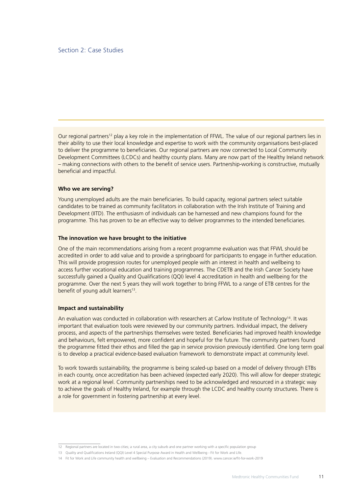#### Section 2: Case Studies

Our regional partners<sup>12</sup> play a key role in the implementation of FFWL. The value of our regional partners lies in their ability to use their local knowledge and expertise to work with the community organisations best-placed to deliver the programme to beneficiaries. Our regional partners are now connected to Local Community Development Committees (LCDCs) and healthy county plans. Many are now part of the Healthy Ireland network – making connections with others to the benefit of service users. Partnership-working is constructive, mutually beneficial and impactful.

#### **Who we are serving?**

Young unemployed adults are the main beneficiaries. To build capacity, regional partners select suitable candidates to be trained as community facilitators in collaboration with the Irish Institute of Training and Development (IITD). The enthusiasm of individuals can be harnessed and new champions found for the programme. This has proven to be an effective way to deliver programmes to the intended beneficiaries.

#### **The innovation we have brought to the initiative**

One of the main recommendations arising from a recent programme evaluation was that FFWL should be accredited in order to add value and to provide a springboard for participants to engage in further education. This will provide progression routes for unemployed people with an interest in health and wellbeing to access further vocational education and training programmes. The CDETB and the Irish Cancer Society have successfully gained a Quality and Qualifications (QQI) level 4 accreditation in health and wellbeing for the programme. Over the next 5 years they will work together to bring FFWL to a range of ETB centres for the benefit of young adult learners<sup>13</sup>.

#### **Impact and sustainability**

An evaluation was conducted in collaboration with researchers at Carlow Institute of Technology<sup>14</sup>. It was important that evaluation tools were reviewed by our community partners. Individual impact, the delivery process, and aspects of the partnerships themselves were tested. Beneficiaries had improved health knowledge and behaviours, felt empowered, more confident and hopeful for the future. The community partners found the programme fitted their ethos and filled the gap in service provision previously identified. One long term goal is to develop a practical evidence-based evaluation framework to demonstrate impact at community level.

To work towards sustainability, the programme is being scaled-up based on a model of delivery through ETBs in each county, once accreditation has been achieved (expected early 2020). This will allow for deeper strategic work at a regional level. Community partnerships need to be acknowledged and resourced in a strategic way to achieve the goals of Healthy Ireland, for example through the LCDC and healthy county structures. There is a role for government in fostering partnership at every level.

<sup>12</sup> Regional partners are located in two cities; a rural area, a city suburb and one partner working with a specific population group

<sup>13</sup> Quality and Qualifications Ireland (QQI) Level 4 Special Purpose Award in Health and Wellbeing - Fit for Work and Life.

<sup>14</sup> Fit for Work and Life community health and wellbeing – Evaluation and Recommendations (2019). www.cancer.ie/fit-for-work-2019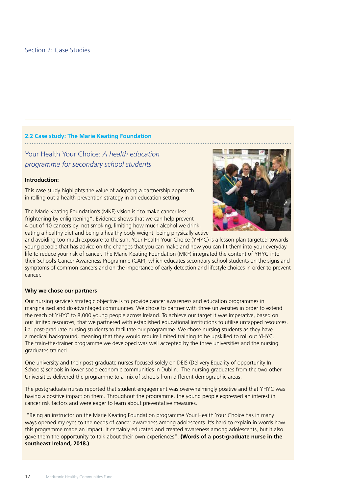#### **2.2 Case study: The Marie Keating Foundation**

Your Health Your Choice: *A health education programme for secondary school students*

#### **Introduction:**

This case study highlights the value of adopting a partnership approach in rolling out a health prevention strategy in an education setting.

The Marie Keating Foundation's (MKF) vision is "to make cancer less frightening by enlightening". Evidence shows that we can help prevent 4 out of 10 cancers by: not smoking, limiting how much alcohol we drink, eating a healthy diet and being a healthy body weight, being physically active



and avoiding too much exposure to the sun. Your Health Your Choice (YHYC) is a lesson plan targeted towards young people that has advice on the changes that you can make and how you can fit them into your everyday life to reduce your risk of cancer. The Marie Keating Foundation (MKF) integrated the content of YHYC into their School's Cancer Awareness Programme (CAP), which educates secondary school students on the signs and symptoms of common cancers and on the importance of early detection and lifestyle choices in order to prevent cancer.

#### **Why we chose our partners**

Our nursing service's strategic objective is to provide cancer awareness and education programmes in marginalised and disadvantaged communities. We chose to partner with three universities in order to extend the reach of YHYC to 8,000 young people across Ireland. To achieve our target it was imperative, based on our limited resources, that we partnered with established educational institutions to utilise untapped resources, i.e. post-graduate nursing students to facilitate our programme. We chose nursing students as they have a medical background, meaning that they would require limited training to be upskilled to roll out YHYC. The train-the-trainer programme we developed was well accepted by the three universities and the nursing graduates trained.

One university and their post-graduate nurses focused solely on DEIS (Delivery Equality of opportunity In Schools) schools in lower socio economic communities in Dublin. The nursing graduates from the two other Universities delivered the programme to a mix of schools from different demographic areas.

The postgraduate nurses reported that student engagement was overwhelmingly positive and that YHYC was having a positive impact on them. Throughout the programme, the young people expressed an interest in cancer risk factors and were eager to learn about preventative measures.

 "Being an instructor on the Marie Keating Foundation programme Your Health Your Choice has in many ways opened my eyes to the needs of cancer awareness among adolescents. It's hard to explain in words how this programme made an impact. It certainly educated and created awareness among adolescents, but it also gave them the opportunity to talk about their own experiences". **(Words of a post-graduate nurse in the southeast Ireland, 2018.)**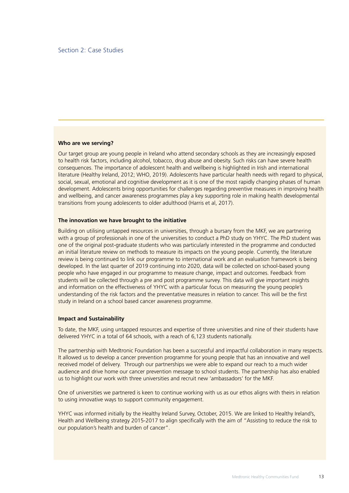#### Section 2: Case Studies

#### **Who are we serving?**

Our target group are young people in Ireland who attend secondary schools as they are increasingly exposed to health risk factors, including alcohol, tobacco, drug abuse and obesity. Such risks can have severe health consequences. The importance of adolescent health and wellbeing is highlighted in Irish and international literature (Healthy Ireland, 2012; WHO, 2019). Adolescents have particular health needs with regard to physical, social, sexual, emotional and cognitive development as it is one of the most rapidly changing phases of human development. Adolescents bring opportunities for challenges regarding preventive measures in improving health and wellbeing, and cancer awareness programmes play a key supporting role in making health developmental transitions from young adolescents to older adulthood (Harris et al, 2017).

#### **The innovation we have brought to the initiative**

Building on utilising untapped resources in universities, through a bursary from the MKF, we are partnering with a group of professionals in one of the universities to conduct a PhD study on YHYC. The PhD student was one of the original post-graduate students who was particularly interested in the programme and conducted an initial literature review on methods to measure its impacts on the young people. Currently, the literature review is being continued to link our programme to international work and an evaluation framework is being developed. In the last quarter of 2019 continuing into 2020, data will be collected on school-based young people who have engaged in our programme to measure change, impact and outcomes. Feedback from students will be collected through a pre and post programme survey. This data will give important insights and information on the effectiveness of YHYC with a particular focus on measuring the young people's understanding of the risk factors and the preventative measures in relation to cancer. This will be the first study in Ireland on a school based cancer awareness programme.

#### **Impact and Sustainability**

To date, the MKF, using untapped resources and expertise of three universities and nine of their students have delivered YHYC in a total of 64 schools, with a reach of 6,123 students nationally.

The partnership with Medtronic Foundation has been a successful and impactful collaboration in many respects. It allowed us to develop a cancer prevention programme for young people that has an innovative and well received model of delivery. Through our partnerships we were able to expand our reach to a much wider audience and drive home our cancer prevention message to school students. The partnership has also enabled us to highlight our work with three universities and recruit new 'ambassadors' for the MKF.

One of universities we partnered is keen to continue working with us as our ethos aligns with theirs in relation to using innovative ways to support community engagement.

YHYC was informed initially by the Healthy Ireland Survey, October, 2015. We are linked to Healthy Ireland's, Health and Wellbeing strategy 2015-2017 to align specifically with the aim of "Assisting to reduce the risk to our population's health and burden of cancer".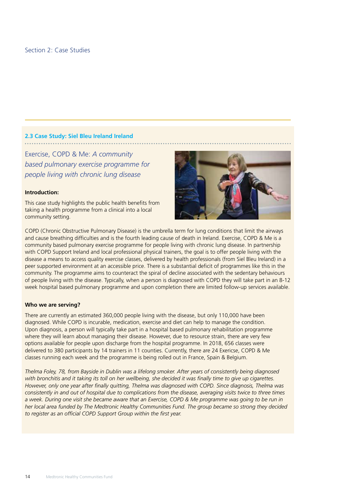#### **2.3 Case Study: Siel Bleu Ireland Ireland**

Exercise, COPD & Me: *A community based pulmonary exercise programme for people living with chronic lung disease*

#### **Introduction:**

This case study highlights the public health benefits from taking a health programme from a clinical into a local community setting.



COPD (Chronic Obstructive Pulmonary Disease) is the umbrella term for lung conditions that limit the airways and cause breathing difficulties and is the fourth leading cause of death in Ireland. Exercise, COPD & Me is a community based pulmonary exercise programme for people living with chronic lung disease. In partnership with COPD Support Ireland and local professional physical trainers, the goal is to offer people living with the disease a means to access quality exercise classes, delivered by health professionals (from Siel Bleu Ireland) in a peer supported environment at an accessible price. There is a substantial deficit of programmes like this in the community. The programme aims to counteract the spiral of decline associated with the sedentary behaviours of people living with the disease. Typically, when a person is diagnosed with COPD they will take part in an 8-12 week hospital based pulmonary programme and upon completion there are limited follow-up services available.

#### **Who we are serving?**

There are currently an estimated 360,000 people living with the disease, but only 110,000 have been diagnosed. While COPD is incurable, medication, exercise and diet can help to manage the condition. Upon diagnosis, a person will typically take part in a hospital based pulmonary rehabilitation programme where they will learn about managing their disease. However, due to resource strain, there are very few options available for people upon discharge from the hospital programme. In 2018, 656 classes were delivered to 380 participants by 14 trainers in 11 counties. Currently, there are 24 Exericse, COPD & Me classes running each week and the programme is being rolled out in France, Spain & Belgium.

*Thelma Foley, 78, from Bayside in Dublin was a lifelong smoker. After years of consistently being diagnosed*  with bronchitis and it taking its toll on her wellbeing, she decided it was finally time to give up cigarettes. *However, only one year after finally quitting, Thelma was diagnosed with COPD. Since diagnosis, Thelma was consistently in and out of hospital due to complications from the disease, averaging visits twice to three times a week. During one visit she became aware that an Exercise, COPD & Me programme was going to be run in her local area funded by The Medtronic Healthy Communities Fund. The group became so strong they decided to register as an official COPD Support Group within the first year.*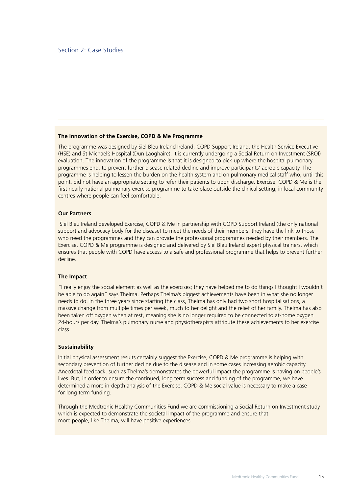#### Section 2: Case Studies

#### **The Innovation of the Exercise, COPD & Me Programme**

The programme was designed by Siel Bleu Ireland Ireland, COPD Support Ireland, the Health Service Executive (HSE) and St Michael's Hospital (Dun Laoghaire). It is currently undergoing a Social Return on Investment (SROI) evaluation. The innovation of the programme is that it is designed to pick up where the hospital pulmonary programmes end, to prevent further disease related decline and improve participants' aerobic capacity. The programme is helping to lessen the burden on the health system and on pulmonary medical staff who, until this point, did not have an appropriate setting to refer their patients to upon discharge. Exercise, COPD & Me is the first nearly national pulmonary exercise programme to take place outside the clinical setting, in local community centres where people can feel comfortable.

#### **Our Partners**

 Siel Bleu Ireland developed Exercise, COPD & Me in partnership with COPD Support Ireland (the only national support and advocacy body for the disease) to meet the needs of their members; they have the link to those who need the programmes and they can provide the professional programmes needed by their members. The Exercise, COPD & Me programme is designed and delivered by Siel Bleu Ireland expert physical trainers, which ensures that people with COPD have access to a safe and professional programme that helps to prevent further decline.

#### **The Impact**

"I really enjoy the social element as well as the exercises; they have helped me to do things I thought I wouldn't be able to do again" says Thelma. Perhaps Thelma's biggest achievements have been in what she no longer needs to do. In the three years since starting the class, Thelma has only had two short hospitalisations, a massive change from multiple times per week, much to her delight and the relief of her family. Thelma has also been taken off oxygen when at rest, meaning she is no longer required to be connected to at-home oxygen 24-hours per day. Thelma's pulmonary nurse and physiotherapists attribute these achievements to her exercise class.

#### **Sustainability**

Initial physical assessment results certainly suggest the Exercise, COPD & Me programme is helping with secondary prevention of further decline due to the disease and in some cases increasing aerobic capacity. Anecdotal feedback, such as Thelma's demonstrates the powerful impact the programme is having on people's lives. But, in order to ensure the continued, long term success and funding of the programme, we have determined a more in-depth analysis of the Exercise, COPD & Me social value is necessary to make a case for long term funding.

Through the Medtronic Healthy Communities Fund we are commissioning a Social Return on Investment study which is expected to demonstrate the societal impact of the programme and ensure that more people, like Thelma, will have positive experiences.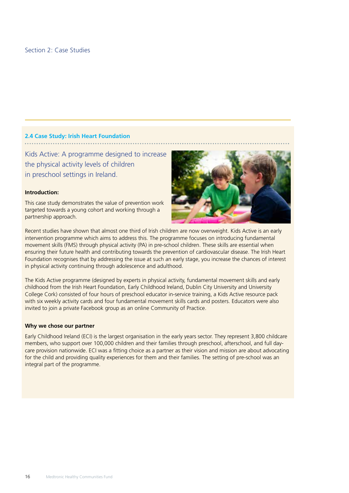#### **2.4 Case Study: Irish Heart Foundation**

Kids Active: A programme designed to increase the physical activity levels of children in preschool settings in Ireland.

#### **Introduction:**

This case study demonstrates the value of prevention work targeted towards a young cohort and working through a partnership approach.



Recent studies have shown that almost one third of Irish children are now overweight. Kids Active is an early intervention programme which aims to address this. The programme focuses on introducing fundamental movement skills (FMS) through physical activity (PA) in pre-school children. These skills are essential when ensuring their future health and contributing towards the prevention of cardiovascular disease. The Irish Heart Foundation recognises that by addressing the issue at such an early stage, you increase the chances of interest in physical activity continuing through adolescence and adulthood.

The Kids Active programme (designed by experts in physical activity, fundamental movement skills and early childhood from the Irish Heart Foundation, Early Childhood Ireland, Dublin City University and University College Cork) consisted of four hours of preschool educator in-service training, a Kids Active resource pack with six weekly activity cards and four fundamental movement skills cards and posters. Educators were also invited to join a private Facebook group as an online Community of Practice.

#### **Why we chose our partner**

Early Childhood Ireland (ECI) is the largest organisation in the early years sector. They represent 3,800 childcare members, who support over 100,000 children and their families through preschool, afterschool, and full daycare provision nationwide. ECI was a fitting choice as a partner as their vision and mission are about advocating for the child and providing quality experiences for them and their families. The setting of pre-school was an integral part of the programme.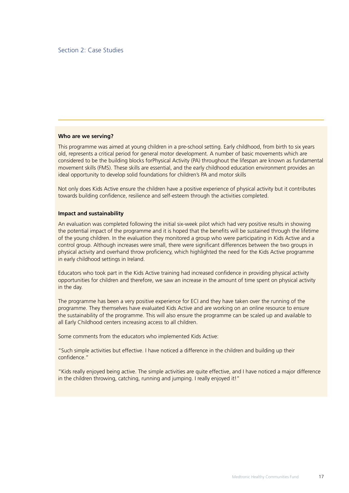#### Section 2: Case Studies

#### **Who are we serving?**

This programme was aimed at young children in a pre-school setting. Early childhood, from birth to six years old, represents a critical period for general motor development. A number of basic movements which are considered to be the building blocks forPhysical Activity (PA) throughout the lifespan are known as fundamental movement skills (FMS). These skills are essential, and the early childhood education environment provides an ideal opportunity to develop solid foundations for children's PA and motor skills

Not only does Kids Active ensure the children have a positive experience of physical activity but it contributes towards building confidence, resilience and self-esteem through the activities completed.

#### **Impact and sustainability**

An evaluation was completed following the initial six-week pilot which had very positive results in showing the potential impact of the programme and it is hoped that the benefits will be sustained through the lifetime of the young children. In the evaluation they monitored a group who were participating in Kids Active and a control group. Although increases were small, there were significant differences between the two groups in physical activity and overhand throw proficiency, which highlighted the need for the Kids Active programme in early childhood settings in Ireland.

Educators who took part in the Kids Active training had increased confidence in providing physical activity opportunities for children and therefore, we saw an increase in the amount of time spent on physical activity in the day.

The programme has been a very positive experience for ECI and they have taken over the running of the programme. They themselves have evaluated Kids Active and are working on an online resource to ensure the sustainability of the programme. This will also ensure the programme can be scaled up and available to all Early Childhood centers increasing access to all children.

Some comments from the educators who implemented Kids Active:

"Such simple activities but effective. I have noticed a difference in the children and building up their confidence."

"Kids really enjoyed being active. The simple activities are quite effective, and I have noticed a major difference in the children throwing, catching, running and jumping. I really enjoyed it!"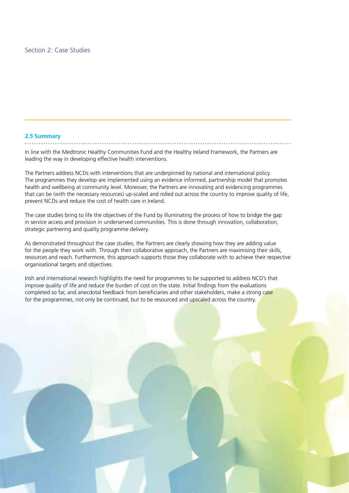#### **2.5 Summary**

In line with the Medtronic Healthy Communities Fund and the Healthy Ireland Framework, the Partners are leading the way in developing effective health interventions.

The Partners address NCDs with interventions that are underpinned by national and international policy. The programmes they develop are implemented using an evidence informed, partnership model that promotes health and wellbeing at community level. Moreover, the Partners are innovating and evidencing programmes that can be (with the necessary resources) up-scaled and rolled out across the country to improve quality of life, prevent NCDs and reduce the cost of health care in Ireland.

The case studies bring to life the objectives of the Fund by illuminating the process of how to bridge the gap in service access and provision in underserved communities. This is done through innovation, collaboration, strategic partnering and quality programme delivery.

As demonstrated throughout the case studies, the Partners are clearly showing how they are adding value for the people they work with. Through their collaborative approach, the Partners are maximising their skills, resources and reach. Furthermore, this approach supports those they collaborate with to achieve their respective organisational targets and objectives.

Irish and international research highlights the need for programmes to be supported to address NCD's that improve quality of life and reduce the burden of cost on the state. Initial findings from the evaluations completed so far, and anecdotal feedback from beneficiaries and other stakeholders, make a strong case for the programmes, not only be continued, but to be resourced and upscaled across the country.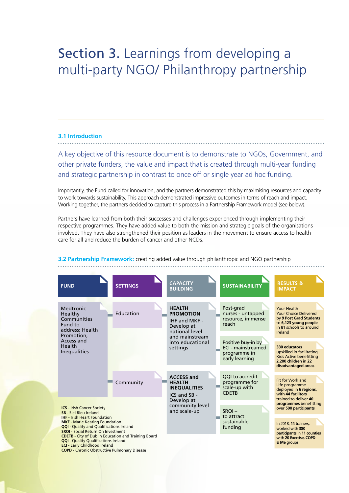## Section 3. Learnings from developing a multi-party NGO/ Philanthropy partnership

#### **3.1 Introduction**

A key objective of this resource document is to demonstrate to NGOs, Government, and other private funders, the value and impact that is created through multi-year funding and strategic partnership in contrast to once off or single year ad hoc funding.

Importantly, the Fund called for innovation, and the partners demonstrated this by maximising resources and capacity to work towards sustainability. This approach demonstrated impressive outcomes in terms of reach and impact. Working together, the partners decided to capture this process in a Partnership Framework model (see below).

Partners have learned from both their successes and challenges experienced through implementing their respective programmes. They have added value to both the mission and strategic goals of the organisations involved. They have also strengthened their position as leaders in the movement to ensure access to health care for all and reduce the burden of cancer and other NCDs.



### **3.2 Partnership Framework:** creating added value through philanthropic and NGO partnership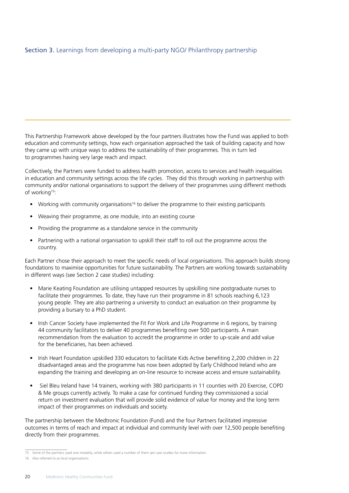### Section 3. Learnings from developing a multi-party NGO/ Philanthropy partnership

This Partnership Framework above developed by the four partners illustrates how the Fund was applied to both education and community settings, how each organisation approached the task of building capacity and how they came up with unique ways to address the sustainability of their programmes. This in turn led to programmes having very large reach and impact.

Collectively, the Partners were funded to address health promotion, access to services and health inequalities in education and community settings across the life cycles. They did this through working in partnership with community and/or national organisations to support the delivery of their programmes using different methods of working<sup>15</sup>:

- Working with community organisations<sup>16</sup> to deliver the programme to their existing participants
- Weaving their programme, as one module, into an existing course
- Providing the programme as a standalone service in the community
- Partnering with a national organisation to upskill their staff to roll out the programme across the country.

Each Partner chose their approach to meet the specific needs of local organisations. This approach builds strong foundations to maximise opportunities for future sustainability. The Partners are working towards sustainability in different ways (see Section 2 case studies) including:

- Marie Keating Foundation are utilising untapped resources by upskilling nine postgraduate nurses to facilitate their programmes. To date, they have run their programme in 81 schools reaching 6,123 young people. They are also partnering a university to conduct an evaluation on their programme by providing a bursary to a PhD student.
- Irish Cancer Society have implemented the Fit For Work and Life Programme in 6 regions, by training 44 community facilitators to deliver 40 programmes benefiting over 500 participants. A main recommendation from the evaluation to accredit the programme in order to up-scale and add value for the beneficiaries, has been achieved.
- Irish Heart Foundation upskilled 330 educators to facilitate Kids Active benefiting 2,200 children in 22 disadvantaged areas and the programme has now been adopted by Early Childhood Ireland who are expanding the training and developing an on-line resource to increase access and ensure sustainability.
- Siel Bleu Ireland have 14 trainers, working with 380 participants in 11 counties with 20 Exercise, COPD & Me groups currently actively. To make a case for continued funding they commissioned a social return on investment evaluation that will provide solid evidence of value for money and the long term impact of their programmes on individuals and society.

The partnership between the Medtronic Foundation (Fund) and the four Partners facilitated impressive outcomes in terms of reach and impact at individual and community level with over 12,500 people benefiting directly from their programmes.

<sup>15</sup> Some of the partners used one modality, while others used a number of them see case studies for more information.

<sup>16</sup> Also referred to as local organisations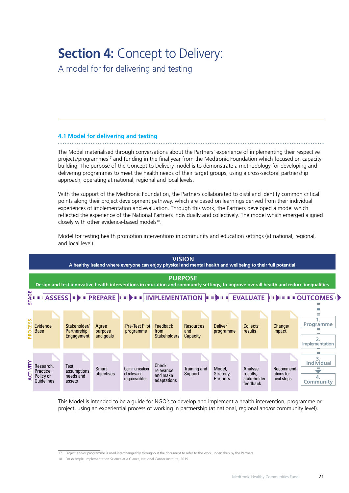### **Section 4: Concept to Delivery:**

A model for for delivering and testing

#### **4.1 Model for delivering and testing**

The Model materialised through conversations about the Partners' experience of implementing their respective projects/programmes<sup>17</sup> and funding in the final year from the Medtronic Foundation which focused on capacity building. The purpose of the Concept to Delivery model is to demonstrate a methodology for developing and delivering programmes to meet the health needs of their target groups, using a cross-sectoral partnership approach, operating at national, regional and local levels.

With the support of the Medtronic Foundation, the Partners collaborated to distil and identify common critical points along their project development pathway, which are based on learnings derived from their individual experiences of implementation and evaluation. Through this work, the Partners developed a model which reflected the experience of the National Partners individually and collectively. The model which emerged aligned closely with other evidence-based models<sup>18</sup>.

Model for testing health promotion interventions in community and education settings (at national, regional, and local level).



This Model is intended to be a guide for NGO's to develop and implement a health intervention, programme or project, using an experiential process of working in partnership (at national, regional and/or community level).

<sup>17</sup> Project and/or programme is used interchangeably throughout the document to refer to the work undertaken by the Partners

<sup>18</sup> For example, Implementation Science at a Glance, National Cancer Institute, 2019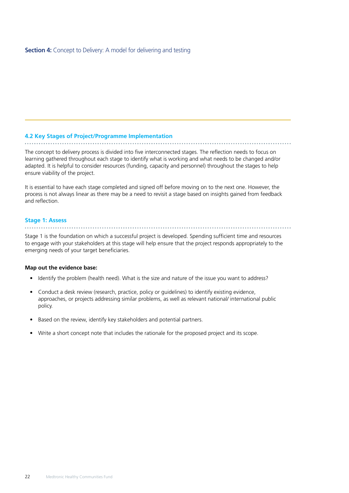#### **4.2 Key Stages of Project/Programme Implementation**

The concept to delivery process is divided into five interconnected stages. The reflection needs to focus on learning gathered throughout each stage to identify what is working and what needs to be changed and/or adapted. It is helpful to consider resources (funding, capacity and personnel) throughout the stages to help ensure viability of the project.

It is essential to have each stage completed and signed off before moving on to the next one. However, the process is not always linear as there may be a need to revisit a stage based on insights gained from feedback and reflection.

#### **Stage 1: Assess**

Stage 1 is the foundation on which a successful project is developed. Spending sufficient time and resources to engage with your stakeholders at this stage will help ensure that the project responds appropriately to the emerging needs of your target beneficiaries.

#### **Map out the evidence base:**

- Identify the problem (health need). What is the size and nature of the issue you want to address?
- Conduct a desk review (research, practice, policy or guidelines) to identify existing evidence, approaches, or projects addressing similar problems, as well as relevant national/ international public policy.
- Based on the review, identify key stakeholders and potential partners.
- Write a short concept note that includes the rationale for the proposed project and its scope.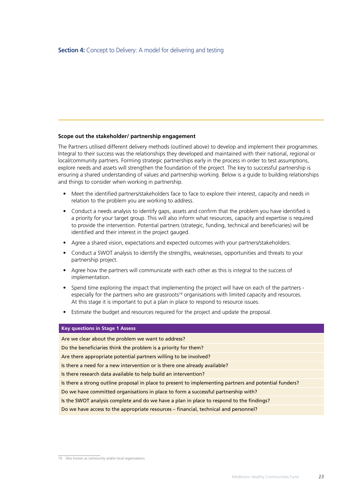#### **Scope out the stakeholder/ partnership engagement**

The Partners utilised different delivery methods (outlined above) to develop and implement their programmes. Integral to their success was the relationships they developed and maintained with their national, regional or local/community partners. Forming strategic partnerships early in the process in order to test assumptions, explore needs and assets will strengthen the foundation of the project. The key to successful partnership is ensuring a shared understanding of values and partnership working. Below is a guide to building relationships and things to consider when working in partnership.

- Meet the identified partners/stakeholders face to face to explore their interest, capacity and needs in relation to the problem you are working to address.
- Conduct a needs analysis to identify gaps, assets and confirm that the problem you have identified is a priority for your target group. This will also inform what resources, capacity and expertise is required to provide the intervention. Potential partners (strategic, funding, technical and beneficiaries) will be identified and their interest in the project gauged.
- Agree a shared vision, expectations and expected outcomes with your partners/stakeholders.
- Conduct a SWOT analysis to identify the strengths, weaknesses, opportunities and threats to your partnership project.
- Agree how the partners will communicate with each other as this is integral to the success of implementation.
- Spend time exploring the impact that implementing the project will have on each of the partners especially for the partners who are grassroots<sup>19</sup> organisations with limited capacity and resources. At this stage it is important to put a plan in place to respond to resource issues.
- Estimate the budget and resources required for the project and update the proposal.

#### **Key questions in Stage 1 Assess**

Are we clear about the problem we want to address? Do the beneficiaries think the problem is a priority for them? Are there appropriate potential partners willing to be involved? Is there a need for a new intervention or is there one already available? Is there research data available to help build an intervention? Is there a strong outline proposal in place to present to implementing partners and potential funders? Do we have committed organisations in place to form a successful partnership with? Is the SWOT analysis complete and do we have a plan in place to respond to the findings? Do we have access to the appropriate resources – financial, technical and personnel?

<sup>19</sup> Also known as community and/or local organisations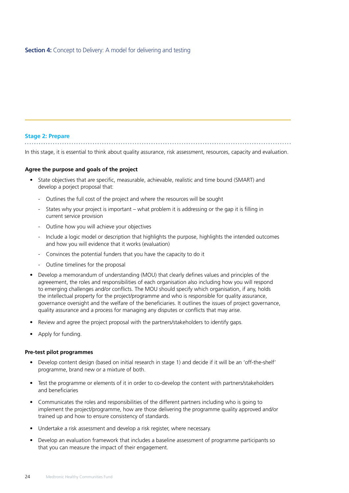#### **Stage 2: Prepare**

. . . . . . . . . . . . . . . . . . . .

In this stage, it is essential to think about quality assurance, risk assessment, resources, capacity and evaluation.

#### **Agree the purpose and goals of the project**

- State objectives that are specific, measurable, achievable, realistic and time bound (SMART) and develop a porject proposal that:
	- Outlines the full cost of the project and where the resources will be sought
	- States why your project is important what problem it is addressing or the gap it is filling in current service provision
	- Outline how you will achieve your objectives
	- Include a logic model or description that highlights the purpose, highlights the intended outcomes and how you will evidence that it works (evaluation)
	- Convinces the potential funders that you have the capacity to do it
	- Outline timelines for the proposal
- Develop a memorandum of understanding (MOU) that clearly defines values and principles of the agreeement, the roles and responsibilities of each organisation also including how you will respond to emerging challenges and/or conflicts. The MOU should specify which organisation, if any, holds the intellectual property for the project/programme and who is responsible for quality assurance, governance oversight and the welfare of the beneficiaries. It outlines the issues of project governance, quality assurance and a process for managing any disputes or conflicts that may arise.
- Review and agree the project proposal with the partners/stakeholders to identify gaps.
- Apply for funding.

#### **Pre-test pilot programmes**

- Develop content design (based on initial research in stage 1) and decide if it will be an 'off-the-shelf' programme, brand new or a mixture of both.
- Test the programme or elements of it in order to co-develop the content with partners/stakeholders and beneficiaries
- Communicates the roles and responsibilities of the different partners including who is going to implement the project/programme, how are those delivering the programme quality approved and/or trained up and how to ensure consistency of standards.
- Undertake a risk assessment and develop a risk register, where necessary.
- Develop an evaluation framework that includes a baseline assessment of programme participants so that you can measure the impact of their engagement.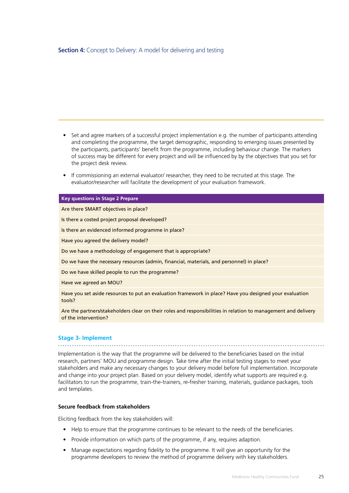- Set and agree markers of a successful project implementation e.g. the number of participants attending and completing the programme, the target demographic, responding to emerging issues presented by the participants, participants' benefit from the programme, including behaviour change. The markers of success may be different for every project and will be influenced by by the objectives that you set for the project desk review.
- If commissioning an external evaluator/ researcher, they need to be recruited at this stage. The evaluator/researcher will facilitate the development of your evaluation framework.

#### **Key questions in Stage 2 Prepare**

Are there SMART objectives in place?

Is there a costed project proposal developed?

Is there an evidenced informed programme in place?

Have you agreed the delivery model?

Do we have a methodology of engagement that is appropriate?

Do we have the necessary resources (admin, financial, materials, and personnel) in place?

Do we have skilled people to run the programme?

Have we agreed an MOU?

Have you set aside resources to put an evaluation framework in place? Have you designed your evaluation tools?

Are the partners/stakeholders clear on their roles and responsibilities in relation to management and delivery of the intervention?

#### **Stage 3- Implement**

Implementation is the way that the programme will be delivered to the beneficiaries based on the initial research, partners' MOU and programme design. Take time after the initial testing stages to meet your stakeholders and make any necessary changes to your delivery model before full implementation. Incorporate and change into your project plan. Based on your delivery model, identify what supports are required e.g. facilitators to run the programme, train-the-trainers, re-fresher training, materials, guidance packages, tools and templates.

#### **Secure feedback from stakeholders**

Eliciting feedback from the key stakeholders will:

- Help to ensure that the programme continues to be relevant to the needs of the beneficiaries.
- Provide information on which parts of the programme, if any, requires adaption.
- Manage expectations regarding fidelity to the programme. It will give an opportunity for the programme developers to review the method of programme delivery with key stakeholders.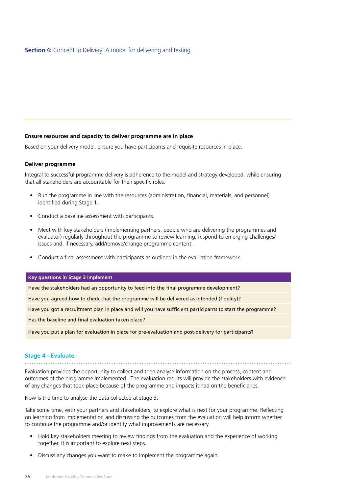#### **Ensure resources and capacity to deliver programme are in place**

Based on your delivery model, ensure you have participants and requisite resources in place.

#### **Deliver programme**

Integral to successful programme delivery is adherence to the model and strategy developed, while ensuring that all stakeholders are accountable for their specific roles.

- Run the programme in line with the resources (administration, financial, materials, and personnel) identified during Stage 1.
- Conduct a baseline assessment with participants.
- Meet with key stakeholders (implementing partners, people who are delivering the programmes and evaluator) regularly throughout the programme to review learning, respond to emerging challenges/ issues and, if necessary, add/remove/change programme content.
- Conduct a final assessment with participants as outlined in the evaluation framework.

#### **Key questions in Stage 3 Implement**

Have the stakeholders had an opportunity to feed into the final programme development?

Have you agreed how to check that the programme will be delivered as intended (fidelity)?

Have you got a recruitment plan in place and will you have sufficient participants to start the programme?

Has the baseline and final evaluation taken place?

Have you put a plan for evaluation in place for pre-evaluation and post-delivery for participants?

#### **Stage 4 - Evaluate**

Evaluation provides the opportunity to collect and then analyse information on the process, content and outcomes of the programme implemented. The evaluation results will provide the stakeholders with evidence of any changes that took place because of the programme and impacts it had on the beneficiaries.

Now is the time to analyse the data collected at stage 3.

Take some time, with your partners and stakeholders, to explore what is next for your programme. Reflecting on learning from implementation and discussing the outcomes from the evaluation will help inform whether to continue the programme and/or identify what improvements are necessary.

- Hold key stakeholders meeting to review findings from the evaluation and the experience of working together. It is important to explore next steps.
- Discuss any changes you want to make to implement the programme again.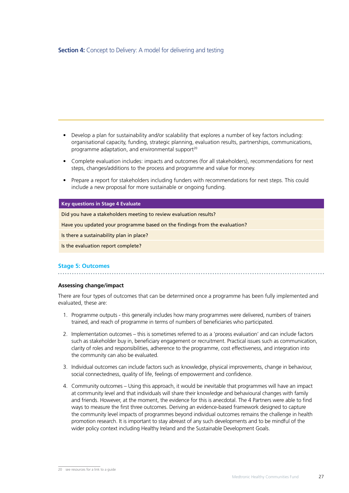- Develop a plan for sustainability and/or scalability that explores a number of key factors including: organisational capacity, funding, strategic planning, evaluation results, partnerships, communications, programme adaptation, and environmental support $20$
- Complete evaluation includes: impacts and outcomes (for all stakeholders), recommendations for next steps, changes/additions to the process and programme and value for money.
- Prepare a report for stakeholders including funders with recommendations for next steps. This could include a new proposal for more sustainable or ongoing funding.

#### **Key questions in Stage 4 Evaluate**

Did you have a stakeholders meeting to review evaluation results?

Have you updated your programme based on the findings from the evaluation?

Is there a sustainability plan in place?

Is the evaluation report complete?

#### **Stage 5: Outcomes**

#### **Assessing change/impact**

There are four types of outcomes that can be determined once a programme has been fully implemented and evaluated, these are:

- 1. Programme outputs this generally includes how many programmes were delivered, numbers of trainers trained, and reach of programme in terms of numbers of beneficiaries who participated.
- 2. Implementation outcomes this is sometimes referred to as a 'process evaluation' and can include factors such as stakeholder buy in, beneficiary engagement or recruitment. Practical issues such as communication, clarity of roles and responsibilities, adherence to the programme, cost effectiveness, and integration into the community can also be evaluated.
- 3. Individual outcomes can include factors such as knowledge, physical improvements, change in behaviour, social connectedness, quality of life, feelings of empowerment and confidence.
- 4. Community outcomes Using this approach, it would be inevitable that programmes will have an impact at community level and that individuals will share their knowledge and behavioural changes with family and friends. However, at the moment, the evidence for this is anecdotal. The 4 Partners were able to find ways to measure the first three outcomes. Deriving an evidence-based framework designed to capture the community level impacts of programmes beyond individual outcomes remains the challenge in health promotion research. It is important to stay abreast of any such developments and to be mindful of the wider policy context including Healthy Ireland and the Sustainable Development Goals.

<sup>20</sup> see resources for a link to a guide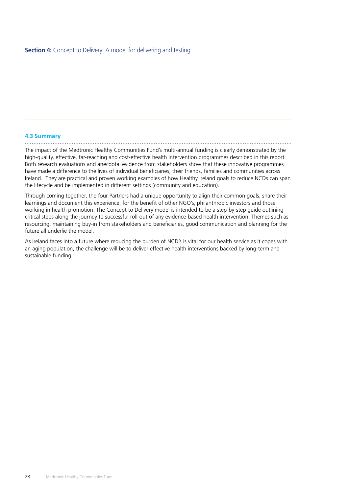#### **4.3 Summary**

. . . . . . . . . . . . . . .

The impact of the Medtronic Healthy Communities Fund's multi-annual funding is clearly demonstrated by the high-quality, effective, far-reaching and cost-effective health intervention programmes described in this report. Both research evaluations and anecdotal evidence from stakeholders show that these innovative programmes have made a difference to the lives of individual beneficiaries, their friends, families and communities across Ireland. They are practical and proven working examples of how Healthy Ireland goals to reduce NCDs can span the lifecycle and be implemented in different settings (community and education).

Through coming together, the four Partners had a unique opportunity to align their common goals, share their learnings and document this experience, for the benefit of other NGO's, philanthropic investors and those working in health promotion. The Concept to Delivery model is intended to be a step-by-step guide outlining critical steps along the journey to successful roll-out of any evidence-based health intervention. Themes such as resourcing, maintaining buy-in from stakeholders and beneficiaries, good communication and planning for the future all underlie the model.

As Ireland faces into a future where reducing the burden of NCD's is vital for our health service as it copes with an aging population, the challenge will be to deliver effective health interventions backed by long-term and sustainable funding.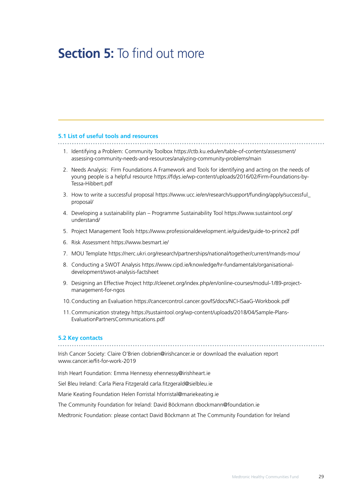### **Section 5:** To find out more

#### **5.1 List of useful tools and resources**

- 1. Identifying a Problem: Community Toolbox https://ctb.ku.edu/en/table-of-contents/assessment/ assessing-community-needs-and-resources/analyzing-community-problems/main
- 2. Needs Analysis: Firm Foundations A Framework and Tools for identifying and acting on the needs of young people is a helpful resource https://fdys.ie/wp-content/uploads/2016/02/Firm-Foundations-by-Tessa-Hibbert.pdf
- 3. How to write a successful proposal https://www.ucc.ie/en/research/support/funding/apply/successful\_ proposal/
- 4. Developing a sustainability plan Programme Sustainability Tool https://www.sustaintool.org/ understand/
- 5. Project Management Tools https://www.professionaldevelopment.ie/guides/guide-to-prince2.pdf
- 6. Risk Assessment https://www.besmart.ie/
- 7. MOU Template https://nerc.ukri.org/research/partnerships/national/together/current/mands-mou/
- 8. Conducting a SWOT Analysis https://www.cipd.ie/knowledge/hr-fundamentals/organisationaldevelopment/swot-analysis-factsheet
- 9. Designing an Effective Project http://cleenet.org/index.php/en/online-courses/modul-1/89-projectmanagement-for-ngos
- 10.Conducting an Evaluation https://cancercontrol.cancer.gov/IS/docs/NCI-ISaaG-Workbook.pdf
- 11.Communication strategy https://sustaintool.org/wp-content/uploads/2018/04/Sample-Plans-EvaluationPartnersCommunications.pdf

#### **5.2 Key contacts**

Irish Cancer Society: Claire O'Brien clobrien@irishcancer.ie or download the evaluation report www.cancer.ie/fit-for-work-2019

Irish Heart Foundation: Emma Hennessy ehennessy@irishheart.ie

Siel Bleu Ireland: Carla Piera Fitzgerald carla.fitzgerald@sielbleu.ie

Marie Keating Foundation Helen Forristal hforristal@mariekeating.ie

The Community Foundation for Ireland: David Böckmann dbockmann@foundation.ie

Medtronic Foundation: please contact David Böckmann at The Community Foundation for Ireland